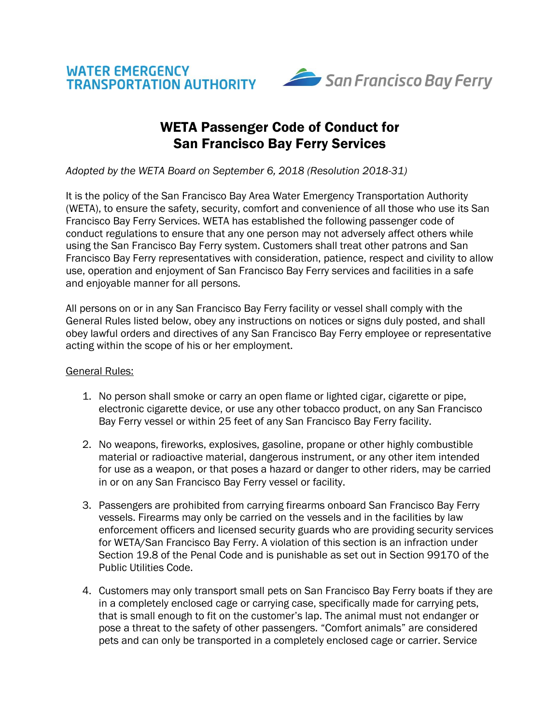



## WETA Passenger Code of Conduct for San Francisco Bay Ferry Services

*Adopted by the WETA Board on September 6, 2018 (Resolution 2018-31)*

It is the policy of the San Francisco Bay Area Water Emergency Transportation Authority (WETA), to ensure the safety, security, comfort and convenience of all those who use its San Francisco Bay Ferry Services. WETA has established the following passenger code of conduct regulations to ensure that any one person may not adversely affect others while using the San Francisco Bay Ferry system. Customers shall treat other patrons and San Francisco Bay Ferry representatives with consideration, patience, respect and civility to allow use, operation and enjoyment of San Francisco Bay Ferry services and facilities in a safe and enjoyable manner for all persons.

All persons on or in any San Francisco Bay Ferry facility or vessel shall comply with the General Rules listed below, obey any instructions on notices or signs duly posted, and shall obey lawful orders and directives of any San Francisco Bay Ferry employee or representative acting within the scope of his or her employment.

## General Rules:

- 1. No person shall smoke or carry an open flame or lighted cigar, cigarette or pipe, electronic cigarette device, or use any other tobacco product, on any San Francisco Bay Ferry vessel or within 25 feet of any San Francisco Bay Ferry facility.
- 2. No weapons, fireworks, explosives, gasoline, propane or other highly combustible material or radioactive material, dangerous instrument, or any other item intended for use as a weapon, or that poses a hazard or danger to other riders, may be carried in or on any San Francisco Bay Ferry vessel or facility.
- 3. Passengers are prohibited from carrying firearms onboard San Francisco Bay Ferry vessels. Firearms may only be carried on the vessels and in the facilities by law enforcement officers and licensed security guards who are providing security services for WETA/San Francisco Bay Ferry. A violation of this section is an infraction under Section 19.8 of the Penal Code and is punishable as set out in Section 99170 of the Public Utilities Code.
- 4. Customers may only transport small pets on San Francisco Bay Ferry boats if they are in a completely enclosed cage or carrying case, specifically made for carrying pets, that is small enough to fit on the customer's lap. The animal must not endanger or pose a threat to the safety of other passengers. "Comfort animals" are considered pets and can only be transported in a completely enclosed cage or carrier. Service